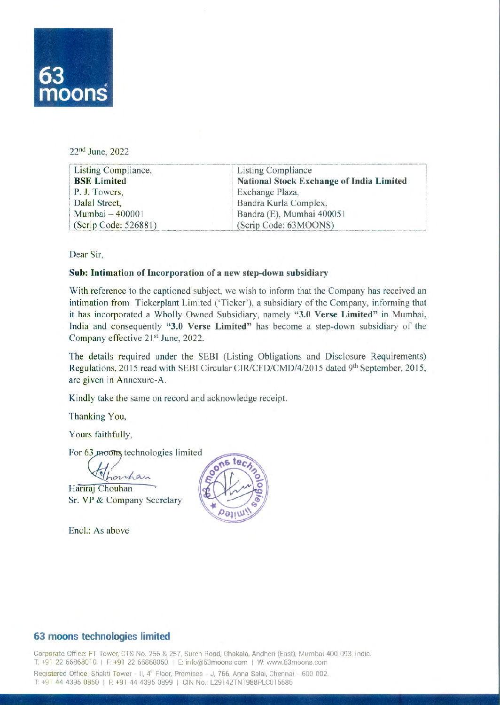

22<sup>nd</sup> June, 2022

| Listing Compliance,  | <b>Listing Compliance</b>                       |
|----------------------|-------------------------------------------------|
| <b>BSE</b> Limited   | <b>National Stock Exchange of India Limited</b> |
| P. J. Towers,        | Exchange Plaza,                                 |
| Dalal Street,        | Bandra Kurla Complex,                           |
| Mumbai - 400001      | Bandra (E), Mumbai 400051                       |
| (Scrip Code: 526881) | (Scrip Code: 63MOONS)                           |

Dear Sir,

## **Sub:Intimation of Incorporation of a new step-down subsidiary**

With reference to the captioned subject, we wish to inform that the Company has received an intimation from Tickerplant Limited ('Ticker'), a subsidiary of the Company, informing that it has incorporated a Wholly Owned Subsidiary, namely "3.0 Verse Limited" in Mumbai, India and consequently "3.0 Verse Limited" has become a step-down subsidiary of the Company effective 21<sup>st</sup> June, 2022.

The details required under the SEBI (Listing Obligations and Disclosure Requirements) Regulations, 2015 read with SEBI Circular CIR/CFD/CMD/4/2015 dated 9th September, 2015, are given in Annexure-A.

Kindly take the same on record and acknowledge receipt.

Thanking You,

Yours faithfully,

For 63 moons technologies limited

<u>Whomhan</u><br>Hariraj Chouhan Sr. VP & Company Secretary

Encl.: As above



## **63 moons technologies limited**

Corporate Office: FT Tower, CTS No. 256 & 257, Suren Road, Chakala, Andheri (East), Mumbai 400 093, India. T: +91 22 66868010 | F: +91 22 66868050 | E: info@63moons.com | W: www.63moons.com Registered Office: Shakti Tower - II, 4<sup>th</sup> Floor, Premises - J, 766, Anna Salai, Chennai - 600 002. T: +91 44 4395 0850 | F: +91 44 4395 0899 | CIN No.: L29142TN1988PLC015586